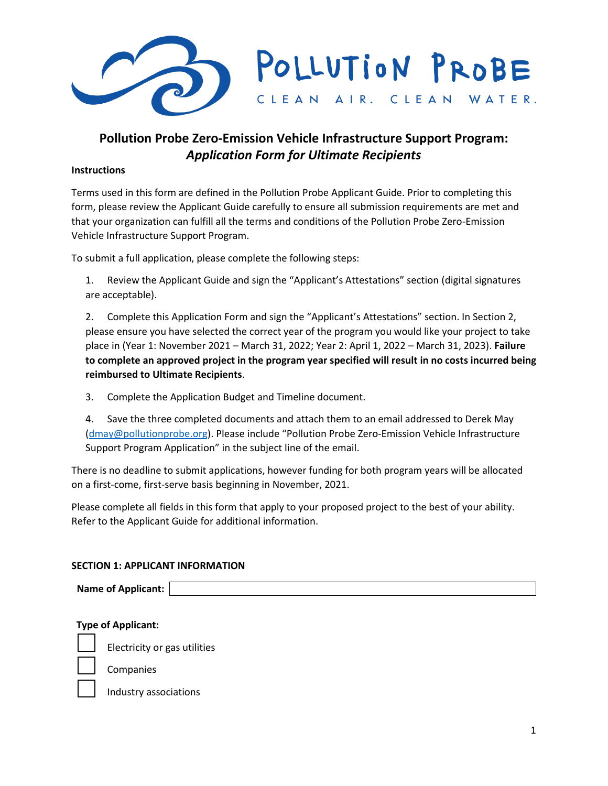

# **Pollution Probe Zero-Emission Vehicle Infrastructure Support Program:** *Application Form for Ultimate Recipients*

#### **Instructions**

Terms used in this form are defined in the Pollution Probe Applicant Guide. Prior to completing this form, please review the Applicant Guide carefully to ensure all submission requirements are met and that your organization can fulfill all the terms and conditions of the Pollution Probe Zero-Emission Vehicle Infrastructure Support Program.

To submit a full application, please complete the following steps:

1. Review the Applicant Guide and sign the "Applicant's Attestations" section (digital signatures are acceptable).

2. Complete this Application Form and sign the "Applicant's Attestations" section. In Section 2, please ensure you have selected the correct year of the program you would like your project to take place in (Year 1: November 2021 – March 31, 2022; Year 2: April 1, 2022 – March 31, 2023). **Failure to complete an approved project in the program year specified will result in no costs incurred being reimbursed to Ultimate Recipients**.

3. Complete the Application Budget and Timeline document.

4. Save the three completed documents and attach them to an email addressed to Derek May [\(dmay@pollutionprobe.org\)](mailto:dmay@pollutionprobe.org). Please include "Pollution Probe Zero-Emission Vehicle Infrastructure Support Program Application" in the subject line of the email.

There is no deadline to submit applications, however funding for both program years will be allocated on a first-come, first-serve basis beginning in November, 2021.

Please complete all fields in this form that apply to your proposed project to the best of your ability. Refer to the Applicant Guide for additional information.

#### **SECTION 1: APPLICANT INFORMATION**

**Name of Applicant:**

**Type of Applicant:**

Electricity or gas utilities

Companies

Industry associations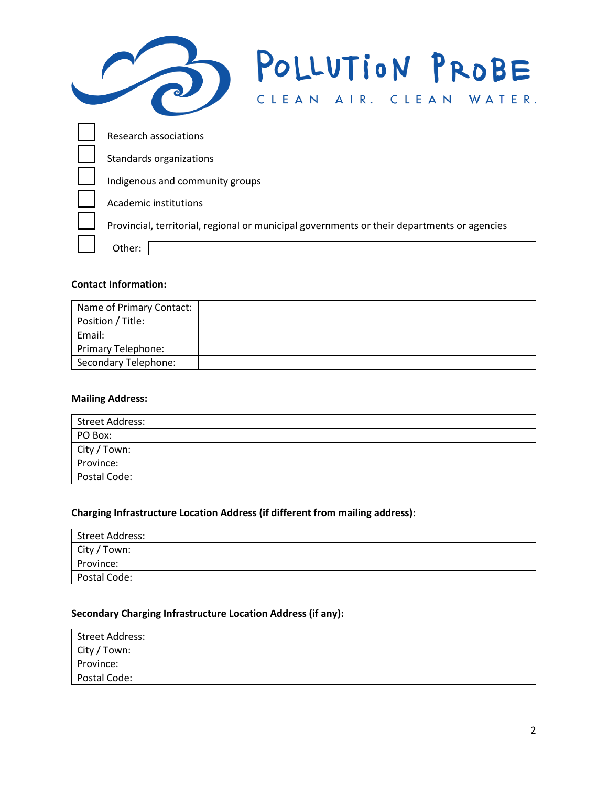| POLLUTION PROBE<br>CLEAN AIR. CLEAN<br>WATER.                                               |
|---------------------------------------------------------------------------------------------|
| Research associations                                                                       |
| Standards organizations                                                                     |
| Indigenous and community groups                                                             |
| Academic institutions                                                                       |
| Provincial, territorial, regional or municipal governments or their departments or agencies |
| Other:                                                                                      |

#### **Contact Information:**

| Name of Primary Contact: |  |
|--------------------------|--|
| Position / Title:        |  |
| Email:                   |  |
| Primary Telephone:       |  |
| Secondary Telephone:     |  |

#### **Mailing Address:**

| <b>Street Address:</b> |  |
|------------------------|--|
| PO Box:                |  |
| City / Town:           |  |
| Province:              |  |
| Postal Code:           |  |

# **Charging Infrastructure Location Address (if different from mailing address):**

| Street Address: |  |
|-----------------|--|
| City / Town:    |  |
| Province:       |  |
| Postal Code:    |  |

# **Secondary Charging Infrastructure Location Address (if any):**

| <b>Street Address:</b> |  |
|------------------------|--|
| City / Town:           |  |
| Province:              |  |
| Postal Code:           |  |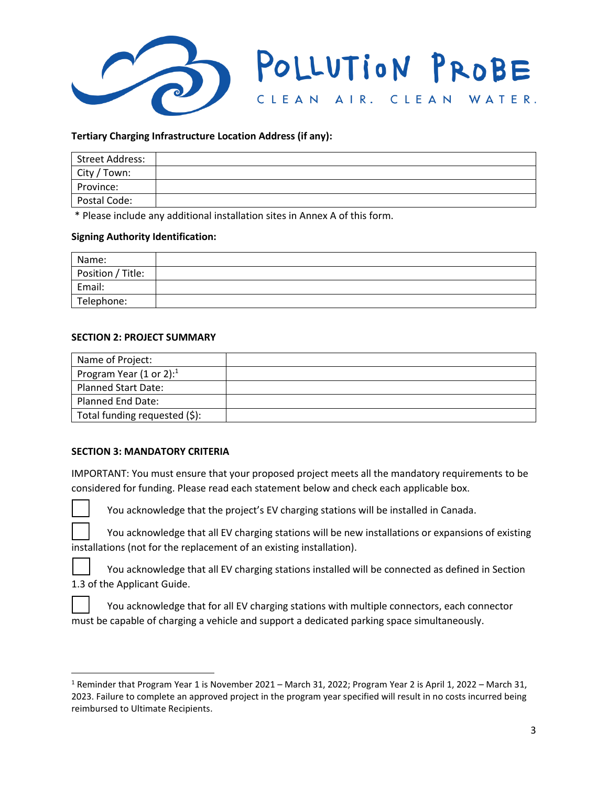

#### **Tertiary Charging Infrastructure Location Address (if any):**

| Street Address: |  |
|-----------------|--|
| City / Town:    |  |
| Province:       |  |
| Postal Code:    |  |

\* Please include any additional installation sites in Annex A of this form.

#### **Signing Authority Identification:**

| Name:             |  |
|-------------------|--|
| Position / Title: |  |
| Email:            |  |
| Telephone:        |  |

#### **SECTION 2: PROJECT SUMMARY**

| Name of Project:              |  |
|-------------------------------|--|
| Program Year (1 or 2): $1$    |  |
| <b>Planned Start Date:</b>    |  |
| Planned End Date:             |  |
| Total funding requested (\$): |  |

#### **SECTION 3: MANDATORY CRITERIA**

IMPORTANT: You must ensure that your proposed project meets all the mandatory requirements to be considered for funding. Please read each statement below and check each applicable box.



You acknowledge that the project's EV charging stations will be installed in Canada.

You acknowledge that all EV charging stations will be new installations or expansions of existing installations (not for the replacement of an existing installation).

You acknowledge that all EV charging stations installed will be connected as defined in Section 1.3 of the Applicant Guide.

You acknowledge that for all EV charging stations with multiple connectors, each connector must be capable of charging a vehicle and support a dedicated parking space simultaneously.

<sup>&</sup>lt;sup>1</sup> Reminder that Program Year 1 is November 2021 – March 31, 2022; Program Year 2 is April 1, 2022 – March 31, 2023. Failure to complete an approved project in the program year specified will result in no costs incurred being reimbursed to Ultimate Recipients.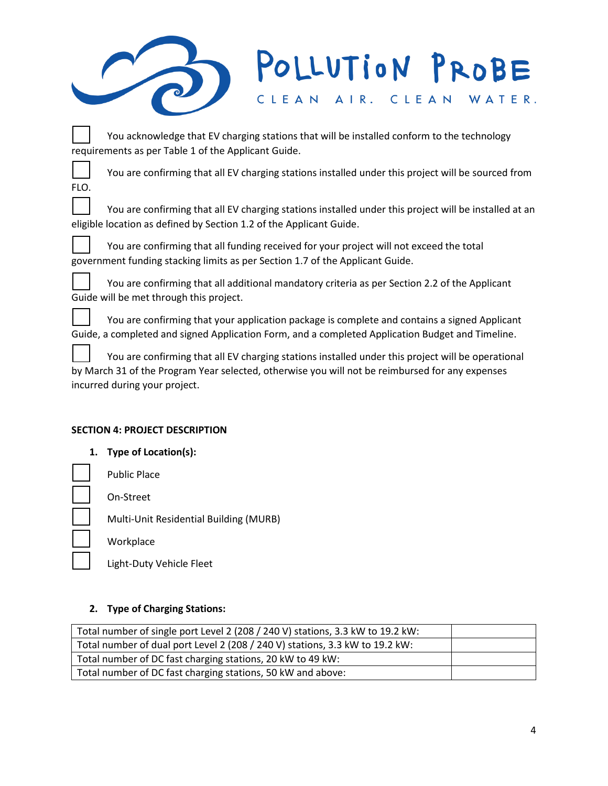# POLLUTION PROBE CLEAN AIR. CLEAN WATER.

You acknowledge that EV charging stations that will be installed conform to the technology requirements as per Table 1 of the Applicant Guide.

You are confirming that all EV charging stations installed under this project will be sourced from FLO.

You are confirming that all EV charging stations installed under this project will be installed at an eligible location as defined by Section 1.2 of the Applicant Guide.

You are confirming that all funding received for your project will not exceed the total government funding stacking limits as per Section 1.7 of the Applicant Guide.

You are confirming that all additional mandatory criteria as per Section 2.2 of the Applicant Guide will be met through this project.

You are confirming that your application package is complete and contains a signed Applicant Guide, a completed and signed Application Form, and a completed Application Budget and Timeline.

You are confirming that all EV charging stations installed under this project will be operational by March 31 of the Program Year selected, otherwise you will not be reimbursed for any expenses incurred during your project.

# **SECTION 4: PROJECT DESCRIPTION**

**1. Type of Location(s):**

Public Place

On-Street

Multi-Unit Residential Building (MURB)

**Workplace** 

Light-Duty Vehicle Fleet

# **2. Type of Charging Stations:**

| Total number of single port Level 2 (208 / 240 V) stations, 3.3 kW to 19.2 kW: |  |
|--------------------------------------------------------------------------------|--|
| Total number of dual port Level 2 (208 / 240 V) stations, 3.3 kW to 19.2 kW:   |  |
| Total number of DC fast charging stations, 20 kW to 49 kW:                     |  |
| Total number of DC fast charging stations, 50 kW and above:                    |  |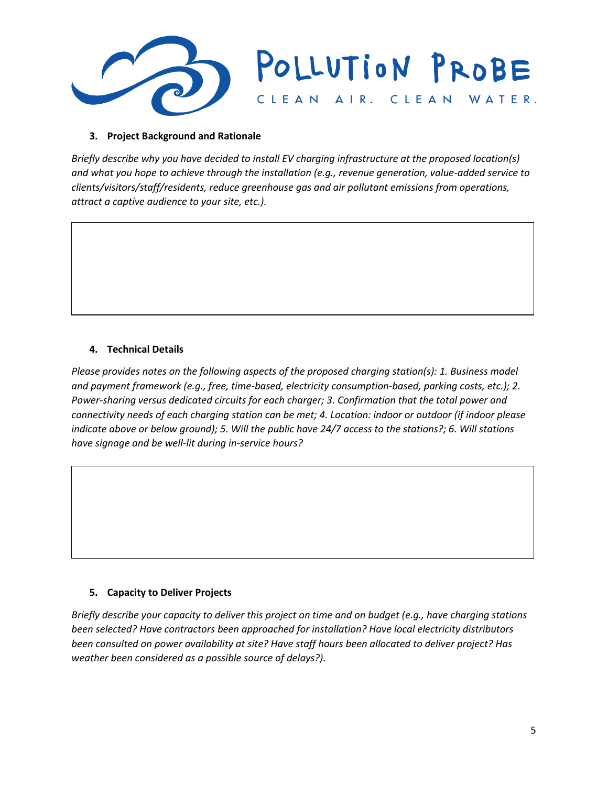

#### **3. Project Background and Rationale**

*Briefly describe why you have decided to install EV charging infrastructure at the proposed location(s) and what you hope to achieve through the installation (e.g., revenue generation, value-added service to clients/visitors/staff/residents, reduce greenhouse gas and air pollutant emissions from operations, attract a captive audience to your site, etc.).*

#### **4. Technical Details**

*Please provides notes on the following aspects of the proposed charging station(s): 1. Business model and payment framework (e.g., free, time-based, electricity consumption-based, parking costs, etc.); 2. Power-sharing versus dedicated circuits for each charger; 3. Confirmation that the total power and connectivity needs of each charging station can be met; 4. Location: indoor or outdoor (if indoor please indicate above or below ground); 5. Will the public have 24/7 access to the stations?; 6. Will stations have signage and be well-lit during in-service hours?*

#### **5. Capacity to Deliver Projects**

*Briefly describe your capacity to deliver this project on time and on budget (e.g., have charging stations been selected? Have contractors been approached for installation? Have local electricity distributors been consulted on power availability at site? Have staff hours been allocated to deliver project? Has weather been considered as a possible source of delays?).*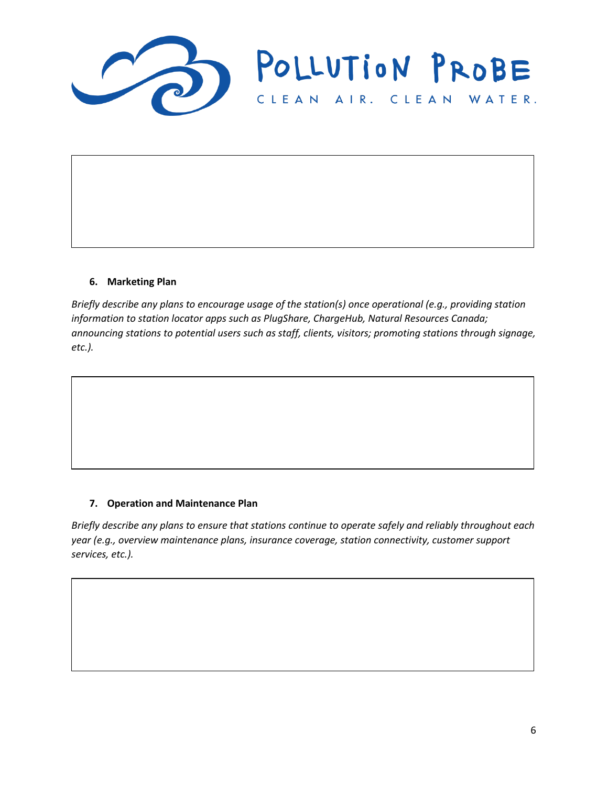

#### **6. Marketing Plan**

*Briefly describe any plans to encourage usage of the station(s) once operational (e.g., providing station information to station locator apps such as PlugShare, ChargeHub, Natural Resources Canada; announcing stations to potential users such as staff, clients, visitors; promoting stations through signage, etc.).*

#### **7. Operation and Maintenance Plan**

*Briefly describe any plans to ensure that stations continue to operate safely and reliably throughout each year (e.g., overview maintenance plans, insurance coverage, station connectivity, customer support services, etc.).*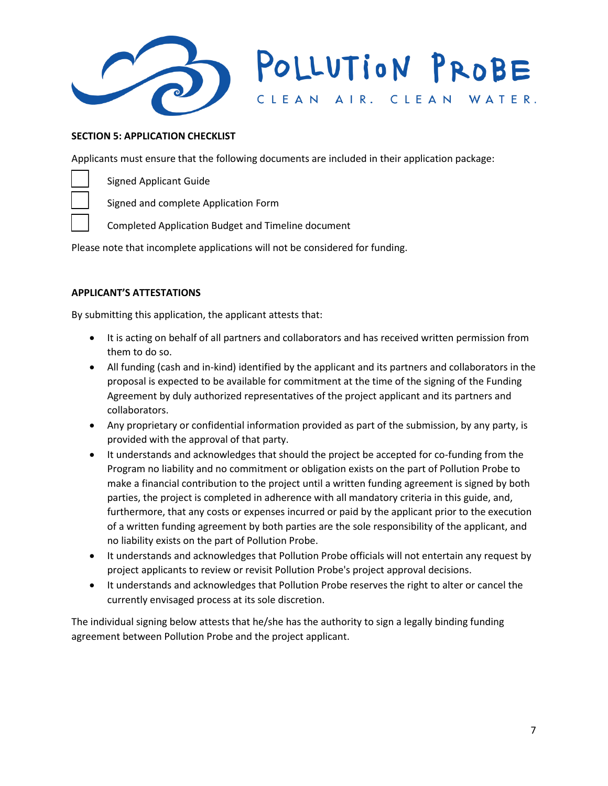

# POLLUTION PROBE CLEAN AIR. CLEAN WATER.

#### **SECTION 5: APPLICATION CHECKLIST**

Applicants must ensure that the following documents are included in their application package:

Signed Applicant Guide

Signed and complete Application Form

Completed Application Budget and Timeline document

Please note that incomplete applications will not be considered for funding.

#### **APPLICANT'S ATTESTATIONS**

By submitting this application, the applicant attests that:

- It is acting on behalf of all partners and collaborators and has received written permission from them to do so.
- All funding (cash and in-kind) identified by the applicant and its partners and collaborators in the proposal is expected to be available for commitment at the time of the signing of the Funding Agreement by duly authorized representatives of the project applicant and its partners and collaborators.
- Any proprietary or confidential information provided as part of the submission, by any party, is provided with the approval of that party.
- It understands and acknowledges that should the project be accepted for co-funding from the Program no liability and no commitment or obligation exists on the part of Pollution Probe to make a financial contribution to the project until a written funding agreement is signed by both parties, the project is completed in adherence with all mandatory criteria in this guide, and, furthermore, that any costs or expenses incurred or paid by the applicant prior to the execution of a written funding agreement by both parties are the sole responsibility of the applicant, and no liability exists on the part of Pollution Probe.
- It understands and acknowledges that Pollution Probe officials will not entertain any request by project applicants to review or revisit Pollution Probe's project approval decisions.
- It understands and acknowledges that Pollution Probe reserves the right to alter or cancel the currently envisaged process at its sole discretion.

The individual signing below attests that he/she has the authority to sign a legally binding funding agreement between Pollution Probe and the project applicant.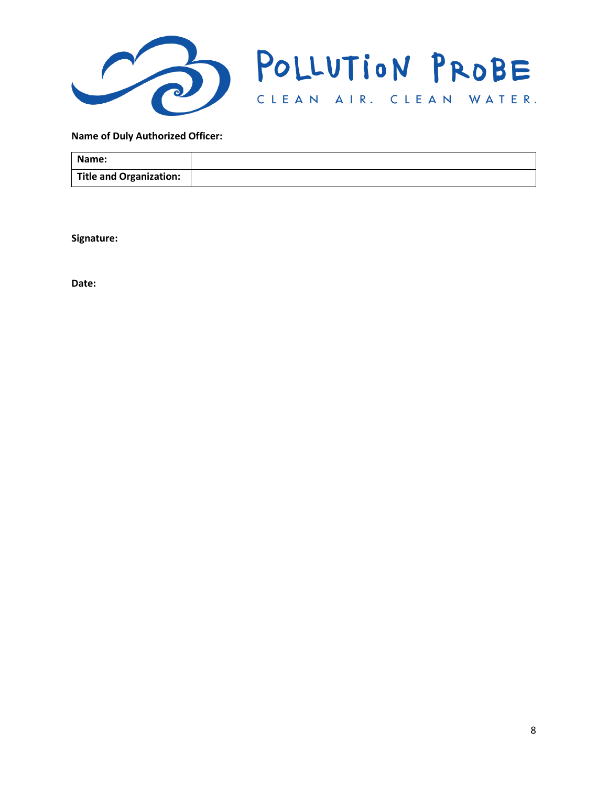

#### **Name of Duly Authorized Officer:**

| Name:                          |  |
|--------------------------------|--|
| <b>Title and Organization:</b> |  |

**Signature:** 

**Date:**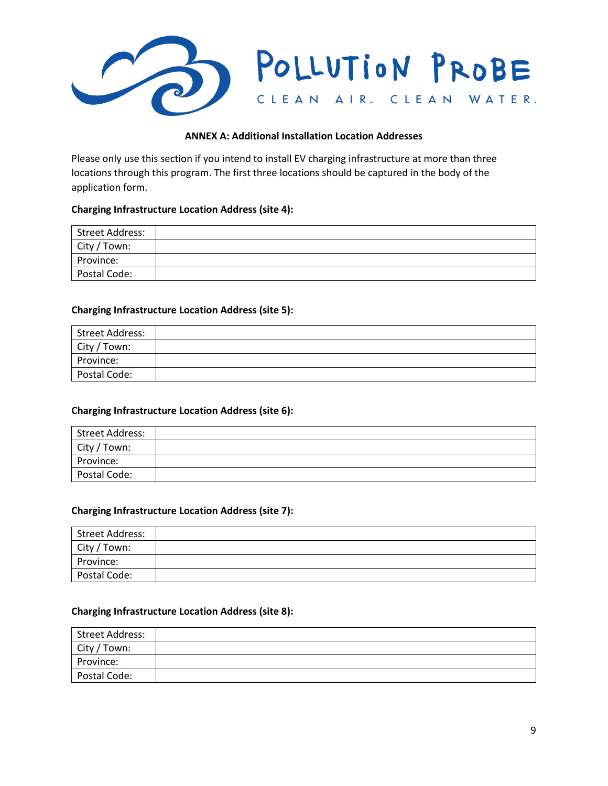

#### **ANNEX A: Additional Installation Location Addresses**

Please only use this section if you intend to install EV charging infrastructure at more than three locations through this program. The first three locations should be captured in the body of the application form.

#### **Charging Infrastructure Location Address (site 4):**

| Street Address: |  |
|-----------------|--|
| City / Town:    |  |
| Province:       |  |
| Postal Code:    |  |

#### **Charging Infrastructure Location Address (site 5):**

| Street Address: |  |
|-----------------|--|
| City / Town:    |  |
| Province:       |  |
| Postal Code:    |  |

#### **Charging Infrastructure Location Address (site 6):**

| <b>Street Address:</b> |  |
|------------------------|--|
| City / Town:           |  |
| Province:              |  |
| Postal Code:           |  |

#### **Charging Infrastructure Location Address (site 7):**

| <b>Street Address:</b> |  |
|------------------------|--|
| City / Town:           |  |
| Province:              |  |
| Postal Code:           |  |

#### **Charging Infrastructure Location Address (site 8):**

| Street Address: |  |
|-----------------|--|
| City / Town:    |  |
| Province:       |  |
| Postal Code:    |  |